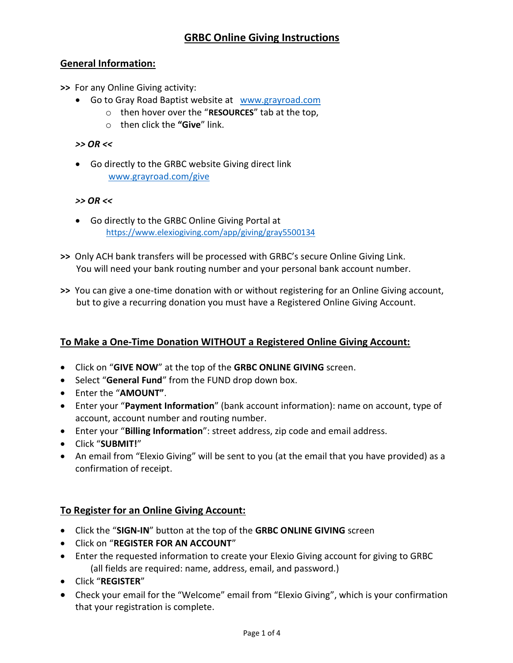## General Information:

>> For any Online Giving activity:

- Go to Gray Road Baptist website at www.grayroad.com
	- $\circ$  then hover over the "RESOURCES" tab at the top,
	- $\circ$  then click the "Give" link.

### >> OR <<

 Go directly to the GRBC website Giving direct link www.grayroad.com/give

#### >> OR <<

- Go directly to the GRBC Online Giving Portal at https://www.elexiogiving.com/app/giving/gray5500134
- >> Only ACH bank transfers will be processed with GRBC's secure Online Giving Link. You will need your bank routing number and your personal bank account number.
- >> You can give a one-time donation with or without registering for an Online Giving account, but to give a recurring donation you must have a Registered Online Giving Account.

## To Make a One-Time Donation WITHOUT a Registered Online Giving Account:

- Click on "GIVE NOW" at the top of the GRBC ONLINE GIVING screen.
- Select "General Fund" from the FUND drop down box.
- Enter the "AMOUNT".
- Enter your "Payment Information" (bank account information): name on account, type of account, account number and routing number.
- Enter your "Billing Information": street address, zip code and email address.
- Click "SUBMIT!"
- An email from "Elexio Giving" will be sent to you (at the email that you have provided) as a confirmation of receipt.

## To Register for an Online Giving Account:

- Click the "SIGN-IN" button at the top of the GRBC ONLINE GIVING screen
- Click on "REGISTER FOR AN ACCOUNT"
- Enter the requested information to create your Elexio Giving account for giving to GRBC (all fields are required: name, address, email, and password.)
- Click "REGISTER"
- Check your email for the "Welcome" email from "Elexio Giving", which is your confirmation that your registration is complete.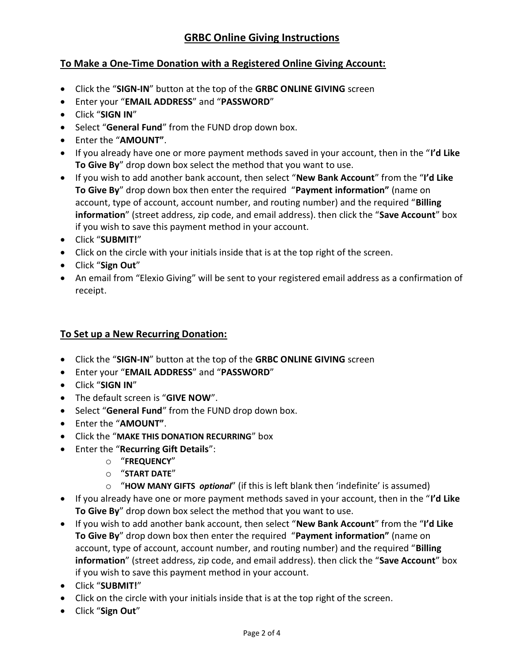# To Make a One-Time Donation with a Registered Online Giving Account:

- Click the "SIGN-IN" button at the top of the GRBC ONLINE GIVING screen
- Enter your "EMAIL ADDRESS" and "PASSWORD"
- Click "SIGN IN"
- Select "General Fund" from the FUND drop down box.
- Enter the "AMOUNT".
- If you already have one or more payment methods saved in your account, then in the "I'd Like" To Give By" drop down box select the method that you want to use.
- If you wish to add another bank account, then select "New Bank Account" from the "I'd Like To Give By" drop down box then enter the required "Payment information" (name on account, type of account, account number, and routing number) and the required "Billing information" (street address, zip code, and email address). then click the "Save Account" box if you wish to save this payment method in your account.
- Click "SUBMIT!"
- Click on the circle with your initials inside that is at the top right of the screen.
- Click "Sign Out"
- An email from "Elexio Giving" will be sent to your registered email address as a confirmation of receipt.

# To Set up a New Recurring Donation:

- Click the "SIGN-IN" button at the top of the GRBC ONLINE GIVING screen
- Enter your "EMAIL ADDRESS" and "PASSWORD"
- Click "SIGN IN"
- The default screen is "GIVE NOW".
- Select "General Fund" from the FUND drop down box.
- Enter the "AMOUNT".
- Click the "MAKE THIS DONATION RECURRING" box
- Enter the "Recurring Gift Details":
	- o "FREQUENCY"
	- o "START DATE"
	- $\circ$  "HOW MANY GIFTS *optional"* (if this is left blank then 'indefinite' is assumed)
- $\bullet$  If you already have one or more payment methods saved in your account, then in the "I'd Like" To Give By" drop down box select the method that you want to use.
- If you wish to add another bank account, then select "New Bank Account" from the "I'd Like To Give By" drop down box then enter the required "Payment information" (name on account, type of account, account number, and routing number) and the required "Billing information" (street address, zip code, and email address). then click the "Save Account" box if you wish to save this payment method in your account.
- Click "SUBMIT!"
- Click on the circle with your initials inside that is at the top right of the screen.
- Click "Sign Out"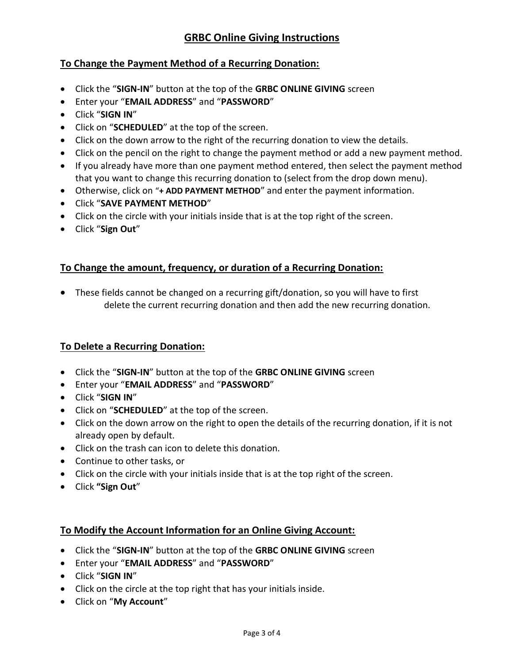# GRBC Online Giving Instructions

## To Change the Payment Method of a Recurring Donation:

- Click the "SIGN-IN" button at the top of the GRBC ONLINE GIVING screen
- Enter your "EMAIL ADDRESS" and "PASSWORD"
- Click "SIGN IN"
- Click on "SCHEDULED" at the top of the screen.
- Click on the down arrow to the right of the recurring donation to view the details.
- Click on the pencil on the right to change the payment method or add a new payment method.
- If you already have more than one payment method entered, then select the payment method that you want to change this recurring donation to (select from the drop down menu).
- Otherwise, click on "+ ADD PAYMENT METHOD" and enter the payment information.
- Click "SAVE PAYMENT METHOD"
- Click on the circle with your initials inside that is at the top right of the screen.
- Click "Sign Out"

## To Change the amount, frequency, or duration of a Recurring Donation:

 These fields cannot be changed on a recurring gift/donation, so you will have to first delete the current recurring donation and then add the new recurring donation.

## To Delete a Recurring Donation:

- Click the "SIGN-IN" button at the top of the GRBC ONLINE GIVING screen
- Enter your "EMAIL ADDRESS" and "PASSWORD"
- Click "SIGN IN"
- Click on "SCHEDULED" at the top of the screen.
- Click on the down arrow on the right to open the details of the recurring donation, if it is not already open by default.
- Click on the trash can icon to delete this donation.
- Continue to other tasks, or
- Click on the circle with your initials inside that is at the top right of the screen.
- Click "Sign Out"

## To Modify the Account Information for an Online Giving Account:

- Click the "SIGN-IN" button at the top of the GRBC ONLINE GIVING screen
- Enter your "EMAIL ADDRESS" and "PASSWORD"
- Click "SIGN IN"
- Click on the circle at the top right that has your initials inside.
- Click on "My Account"